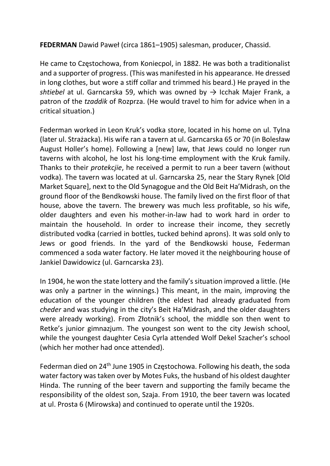FEDERMAN Dawid Paweł (circa 1861–1905) salesman, producer, Chassid.

He came to Częstochowa, from Koniecpol, in 1882. He was both a traditionalist and a supporter of progress. (This was manifested in his appearance. He dressed in long clothes, but wore a stiff collar and trimmed his beard.) He prayed in the shtiebel at ul. Garncarska 59, which was owned by  $\rightarrow$  Icchak Majer Frank, a patron of the tzaddik of Rozprza. (He would travel to him for advice when in a critical situation.)

Federman worked in Leon Kruk's vodka store, located in his home on ul. Tylna (later ul. Strażacka). His wife ran a tavern at ul. Garncarska 65 or 70 (in Bolesław August Holler's home). Following a [new] law, that Jews could no longer run taverns with alcohol, he lost his long-time employment with the Kruk family. Thanks to their protekcjie, he received a permit to run a beer tavern (without vodka). The tavern was located at ul. Garncarska 25, near the Stary Rynek [Old Market Square], next to the Old Synagogue and the Old Beit Ha'Midrash, on the ground floor of the Bendkowski house. The family lived on the first floor of that house, above the tavern. The brewery was much less profitable, so his wife, older daughters and even his mother-in-law had to work hard in order to maintain the household. In order to increase their income, they secretly distributed vodka (carried in bottles, tucked behind aprons). It was sold only to Jews or good friends. In the yard of the Bendkowski house, Federman commenced a soda water factory. He later moved it the neighbouring house of Jankiel Dawidowicz (ul. Garncarska 23).

In 1904, he won the state lottery and the family's situation improved a little. (He was only a partner in the winnings.) This meant, in the main, improving the education of the younger children (the eldest had already graduated from cheder and was studying in the city's Beit Ha'Midrash, and the older daughters were already working). From Złotnik's school, the middle son then went to Retke's junior gimnazjum. The youngest son went to the city Jewish school, while the youngest daughter Cesia Cyrla attended Wolf Dekel Szacher's school (which her mother had once attended).

Federman died on 24th June 1905 in Częstochowa. Following his death, the soda water factory was taken over by Motes Fuks, the husband of his oldest daughter Hinda. The running of the beer tavern and supporting the family became the responsibility of the oldest son, Szaja. From 1910, the beer tavern was located at ul. Prosta 6 (Mirowska) and continued to operate until the 1920s.